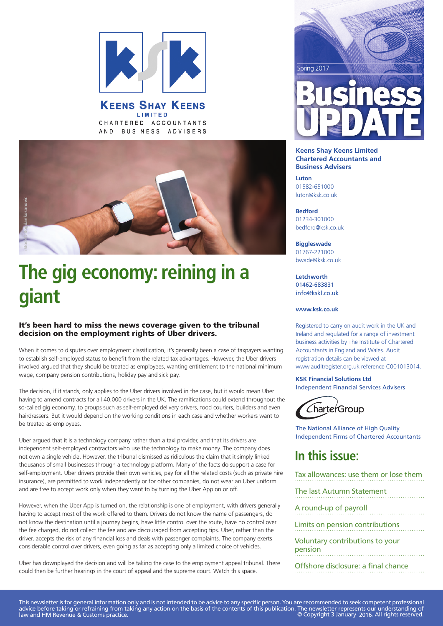

**KEENS SHAY KEENS** LIMITED CHARTERED ACCOUNTANTS AND BUSINESS ADVISERS



# **The gig economy: reining in a**

#### It's been hard to miss the news coverage given to the tribunal decision on the employment rights of Uber drivers.

When it comes to disputes over employment classification, it's generally been a case of taxpayers wanting to establish self-employed status to benefit from the related tax advantages. However, the Uber drivers involved argued that they should be treated as employees, wanting entitlement to the national minimum wage, company pension contributions, holiday pay and sick pay.

The decision, if it stands, only applies to the Uber drivers involved in the case, but it would mean Uber having to amend contracts for all 40,000 drivers in the UK. The ramifications could extend throughout the so-called gig economy, to groups such as self-employed delivery drivers, food couriers, builders and even hairdressers. But it would depend on the working conditions in each case and whether workers want to be treated as employees.

Uber argued that it is a technology company rather than a taxi provider, and that its drivers are independent self-employed contractors who use the technology to make money. The company does not own a single vehicle. However, the tribunal dismissed as ridiculous the claim that it simply linked thousands of small businesses through a technology platform. Many of the facts do support a case for self-employment. Uber drivers provide their own vehicles, pay for all the related costs (such as private hire insurance), are permitted to work independently or for other companies, do not wear an Uber uniform and are free to accept work only when they want to by turning the Uber App on or off.

However, when the Uber App is turned on, the relationship is one of employment, with drivers generally having to accept most of the work offered to them. Drivers do not know the name of passengers, do not know the destination until a journey begins, have little control over the route, have no control over the fee charged, do not collect the fee and are discouraged from accepting tips. Uber, rather than the driver, accepts the risk of any financial loss and deals with passenger complaints. The company exerts considerable control over drivers, even going as far as accepting only a limited choice of vehicles.

Uber has downplayed the decision and will be taking the case to the employment appeal tribunal. There could then be further hearings in the court of appeal and the supreme court. Watch this space.



#### **Keens Shay Keens Limited Chartered Accountants and Business Advisers**

**Luton** 01582-651000 luton@ksk.co.uk

**Bedford** 01234-301000 bedford@ksk.co.uk

**Biggleswade** 01767-221000 bwade@ksk.co.uk

**PicSource** info@kskl.co.uk **Letchworth** 01462-683831

#### **www.ksk.co.uk**

Registered to carry on audit work in the UK and Ireland and regulated for a range of investment business activities by The Institute of Chartered Accountants in England and Wales. Audit registration details can be viewed at www.auditregister.org.uk reference C001013014.

#### **KSK Financial Solutions Ltd**

Independent Financial Services Advisers



The National Alliance of High Quality Independent Firms of Chartered Accountants

### **In this issue:**

Tax allowances: use them or lose them

The last Autumn Statement

A round-up of payroll

Limits on pension contributions

Voluntary contributions to your pension

Offshore disclosure: a final chance

This newsletter is for general information only and is not intended to be advice to any specific person. You are recommended to seek competent professional advice before taking or refraining from taking any action on the basis of the contents of this publication. The newsletter represents our understanding of law and HM Revenue & Customs practice. © Copyright 3 January 2016. All rights reserved.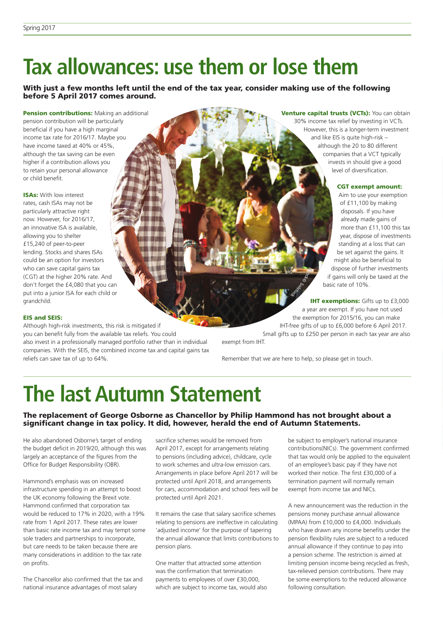### **Tax allowances: use them or lose them**

#### With just a few months left until the end of the tax year, consider making use of the following before 5 April 2017 comes around.

**Pension contributions:** Making an additional pension contribution will be particularly beneficial if you have a high marginal income tax rate for 2016/17. Maybe you have income taxed at 40% or 45%, although the tax saving can be even higher if a contribution allows you to retain your personal allowance or child benefit.

**ISAs:** With low interest rates, cash ISAs may not be particularly attractive right now. However, for 2016/17, an innovative ISA is available, allowing you to shelter £15,240 of peer-to-peer lending. Stocks and shares ISAs could be an option for investors who can save capital gains tax (CGT) at the higher 20% rate. And don't forget the £4,080 that you can put into a junior ISA for each child or grandchild.

#### EIS and SEIS:

Although high-risk investments, this risk is mitigated if you can benefit fully from the available tax reliefs. You could also invest in a professionally managed portfolio rather than in individual companies. With the SEIS, the combined income tax and capital gains tax reliefs can save tax of up to 64%.

Venture capital trusts (VCTs): You can obtain 30% income tax relief by investing in VCTs. However, this is a longer-term investment and like EIS is quite high-risk – although the 20 to 80 different companies that a VCT typically invests in should give a good level of diversification.

#### CGT exempt amount:

Aim to use your exemption of £11,100 by making disposals. If you have already made gains of more than £11,100 this tax year, dispose of investments standing at a loss that can be set against the gains. It might also be beneficial to dispose of further investments if gains will only be taxed at the basic rate of 10%.

**IHT exemptions:** Gifts up to £3,000 a year are exempt. If you have not used the exemption for 2015/16, you can make IHT-free gifts of up to £6,000 before 6 April 2017. Small gifts up to £250 per person in each tax year are also **Si tock© So sl ot ck**

exempt from IHT.

Remember that we are here to help, so please get in touch.

### **The last Autumn Statement**

#### The replacement of George Osborne as Chancellor by Philip Hammond has not brought about a significant change in tax policy. It did, however, herald the end of Autumn Statements.

He also abandoned Osborne's target of ending the budget deficit in 2019/20, although this was largely an acceptance of the figures from the Office for Budget Responsibility (OBR).

Hammond's emphasis was on increased infrastructure spending in an attempt to boost the UK economy following the Brexit vote. Hammond confirmed that corporation tax would be reduced to 17% in 2020, with a 19% rate from 1 April 2017. These rates are lower than basic rate income tax and may tempt some sole traders and partnerships to incorporate, but care needs to be taken because there are many considerations in addition to the tax rate on profits.

The Chancellor also confirmed that the tax and national insurance advantages of most salary

sacrifice schemes would be removed from April 2017, except for arrangements relating to pensions (including advice), childcare, cycle to work schemes and ultra-low emission cars. Arrangements in place before April 2017 will be protected until April 2018, and arrangements for cars, accommodation and school fees will be protected until April 2021.

It remains the case that salary sacrifice schemes relating to pensions are ineffective in calculating 'adjusted income' for the purpose of tapering the annual allowance that limits contributions to pension plans.

One matter that attracted some attention was the confirmation that termination payments to employees of over £30,000, which are subject to income tax, would also be subject to employer's national insurance contributions(NICs). The government confirmed that tax would only be applied to the equivalent of an employee's basic pay if they have not worked their notice. The first £30,000 of a termination payment will normally remain exempt from income tax and NICs.

A new announcement was the reduction in the pensions money purchase annual allowance (MPAA) from £10,000 to £4,000. Individuals who have drawn any income benefits under the pension flexibility rules are subject to a reduced annual allowance if they continue to pay into a pension scheme. The restriction is aimed at limiting pension income being recycled as fresh, tax-relieved pension contributions. There may be some exemptions to the reduced allowance following consultation.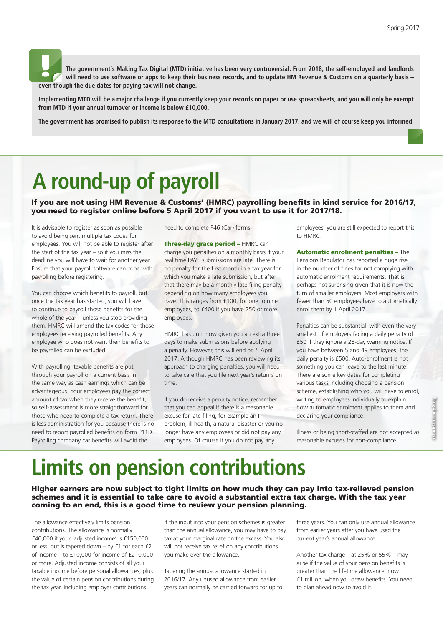**The government's Making Tax Digital (MTD) initiative has been very controversial. From 2018, the self-employed and landlords will need to use software or apps to keep their business records, and to update HM Revenue & Customs on a quarterly basis – even though the due dates for paying tax will not change.**

**Implementing MTD will be a major challenge if you currently keep your records on paper or use spreadsheets, and you will only be exempt from MTD if your annual turnover or income is below £10,000.**

**The government has promised to publish its response to the MTD consultations in January 2017, and we will of course keep you informed.**

### **A round-up of payroll**

#### If you are not using HM Revenue & Customs' (HMRC) payrolling benefits in kind service for 2016/17, you need to register online before 5 April 2017 if you want to use it for 2017/18.

It is advisable to register as soon as possible to avoid being sent multiple tax codes for employees. You will not be able to register after the start of the tax year – so if you miss the deadline you will have to wait for another year. Ensure that your payroll software can cope with payrolling before registering.

You can choose which benefits to payroll, but once the tax year has started, you will have to continue to payroll those benefits for the whole of the year – unless you stop providing them. HMRC will amend the tax codes for those employees receiving payrolled benefits. Any employee who does not want their benefits to be payrolled can be excluded.

With payrolling, taxable benefits are put through your payroll on a current basis in the same way as cash earnings which can be advantageous. Your employees pay the correct amount of tax when they receive the benefit, so self-assessment is more straightforward for those who need to complete a tax return. There is less administration for you because there is no need to report payrolled benefits on form P11D. Payrolling company car benefits will avoid the

need to complete P46 (Car) forms.

Three-day grace period - HMRC can charge you penalties on a monthly basis if your real time PAYE submissions are late. There is no penalty for the first month in a tax year for which you make a late submission, but after that there may be a monthly late filing penalty depending on how many employees you have. This ranges from £100, for one to nine employees, to £400 if you have 250 or more employees.

HMRC has until now given you an extra three days to make submissions before applying a penalty. However, this will end on 5 April 2017. Although HMRC has been reviewing its approach to charging penalties, you will need to take care that you file next year's returns on time.

If you do receive a penalty notice, remember that you can appeal if there is a reasonable excuse for late filing, for example an IT problem, ill health, a natural disaster or you no longer have any employees or did not pay any employees. Of course if you do not pay any

employees, you are still expected to report this to HMRC.

Automatic enrolment penalties – The Pensions Regulator has reported a huge rise in the number of fines for not complying with automatic enrolment requirements. That is perhaps not surprising given that it is now the turn of smaller employers. Most employers with fewer than 50 employees have to automatically enrol them by 1 April 2017.

Penalties can be substantial, with even the very smallest of employers facing a daily penalty of £50 if they ignore a 28-day warning notice. If you have between 5 and 49 employees, the daily penalty is £500. Auto-enrolment is not something you can leave to the last minute. There are some key dates for completing various tasks including choosing a pension scheme, establishing who you will have to enrol, writing to employees individually to explain how automatic enrolment applies to them and declaring your compliance.

Illness or being short-staffed are not accepted as reasonable excuses for non-compliance.

### **Limits on pension contributions**

#### Higher earners are now subject to tight limits on how much they can pay into tax-relieved pension schemes and it is essential to take care to avoid a substantial extra tax charge. With the tax year coming to an end, this is a good time to review your pension planning.

The allowance effectively limits pension contributions. The allowance is normally £40,000 if your 'adjusted income' is £150,000 or less, but is tapered down – by £1 for each £2 of income – to £10,000 for income of £210,000 or more. Adjusted income consists of all your taxable income before personal allowances, plus the value of certain pension contributions during the tax year, including employer contributions.

If the input into your pension schemes is greater than the annual allowance, you may have to pay tax at your marginal rate on the excess. You also will not receive tax relief on any contributions you make over the allowance.

Tapering the annual allowance started in 2016/17. Any unused allowance from earlier years can normally be carried forward for up to

three years. You can only use annual allowance from earlier years after you have used the current year's annual allowance.

Another tax charge – at 25% or 55% – may arise if the value of your pension benefits is greater than the lifetime allowance, now £1 million, when you draw benefits. You need to plan ahead now to avoid it.